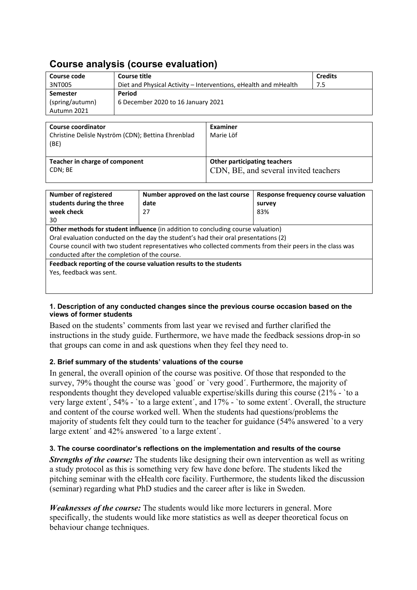# **Course analysis (course evaluation)**

| Course code                                                                                              | <b>Course title</b>                                             |      |                                       |                                     | <b>Credits</b> |  |
|----------------------------------------------------------------------------------------------------------|-----------------------------------------------------------------|------|---------------------------------------|-------------------------------------|----------------|--|
|                                                                                                          |                                                                 |      |                                       |                                     |                |  |
| 3NT005                                                                                                   | Diet and Physical Activity – Interventions, eHealth and mHealth |      |                                       | 7.5                                 |                |  |
| <b>Semester</b>                                                                                          | Period                                                          |      |                                       |                                     |                |  |
| (spring/autumn)                                                                                          | 6 December 2020 to 16 January 2021                              |      |                                       |                                     |                |  |
| Autumn 2021                                                                                              |                                                                 |      |                                       |                                     |                |  |
|                                                                                                          |                                                                 |      |                                       |                                     |                |  |
| <b>Course coordinator</b>                                                                                |                                                                 |      | <b>Examiner</b>                       |                                     |                |  |
| Christine Delisle Nyström (CDN); Bettina Ehrenblad                                                       |                                                                 |      | Marie Löf                             |                                     |                |  |
| (BE)                                                                                                     |                                                                 |      |                                       |                                     |                |  |
|                                                                                                          |                                                                 |      |                                       |                                     |                |  |
| Teacher in charge of component                                                                           |                                                                 |      | <b>Other participating teachers</b>   |                                     |                |  |
| CDN; BE                                                                                                  |                                                                 |      | CDN, BE, and several invited teachers |                                     |                |  |
|                                                                                                          |                                                                 |      |                                       |                                     |                |  |
|                                                                                                          |                                                                 |      |                                       |                                     |                |  |
| <b>Number of registered</b><br>Number approved on the last course                                        |                                                                 |      |                                       | Response frequency course valuation |                |  |
| students during the three                                                                                |                                                                 | date |                                       |                                     | survey         |  |
| week check                                                                                               |                                                                 | 27   |                                       | 83%                                 |                |  |
| 30                                                                                                       |                                                                 |      |                                       |                                     |                |  |
| Other methods for student influence (in addition to concluding course valuation)                         |                                                                 |      |                                       |                                     |                |  |
| Oral evaluation conducted on the day the student's had their oral presentations (2)                      |                                                                 |      |                                       |                                     |                |  |
| Course council with two student representatives who collected comments from their peers in the class was |                                                                 |      |                                       |                                     |                |  |
| conducted after the completion of the course.                                                            |                                                                 |      |                                       |                                     |                |  |

**Feedback reporting of the course valuation results to the students** Yes, feedback was sent.

#### **1. Description of any conducted changes since the previous course occasion based on the views of former students**

Based on the students' comments from last year we revised and further clarified the instructions in the study guide. Furthermore, we have made the feedback sessions drop-in so that groups can come in and ask questions when they feel they need to.

#### **2. Brief summary of the students' valuations of the course**

In general, the overall opinion of the course was positive. Of those that responded to the survey, 79% thought the course was `good´ or `very good´. Furthermore, the majority of respondents thought they developed valuable expertise/skills during this course (21% - `to a very large extent´, 54% - `to a large extent´, and 17% - `to some extent´. Overall, the structure and content of the course worked well. When the students had questions/problems the majority of students felt they could turn to the teacher for guidance (54% answered `to a very large extent' and 42% answered 'to a large extent'.

### **3. The course coordinator's reflections on the implementation and results of the course**

*Strengths of the course:* The students like designing their own intervention as well as writing a study protocol as this is something very few have done before. The students liked the pitching seminar with the eHealth core facility. Furthermore, the students liked the discussion (seminar) regarding what PhD studies and the career after is like in Sweden.

*Weaknesses of the course:* The students would like more lecturers in general. More specifically, the students would like more statistics as well as deeper theoretical focus on behaviour change techniques.